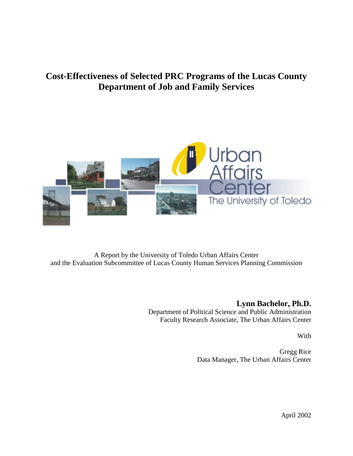# **Cost-Effectiveness of Selected PRC Programs of the Lucas County Department of Job and Family Services**



A Report by the University of Toledo Urban Affairs Center and the Evaluation Subcommittee of Lucas County Human Services Planning Commission

## **Lynn Bachelor, Ph.D.**

Department of Political Science and Public Administration Faculty Research Associate, The Urban Affairs Center

With

Gregg Rice Data Manager, The Urban Affairs Center

April 2002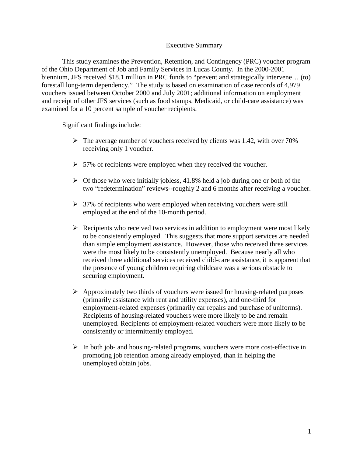#### Executive Summary

This study examines the Prevention, Retention, and Contingency (PRC) voucher program of the Ohio Department of Job and Family Services in Lucas County. In the 2000-2001 biennium, JFS received \$18.1 million in PRC funds to "prevent and strategically intervene… (to) forestall long-term dependency." The study is based on examination of case records of 4,979 vouchers issued between October 2000 and July 2001; additional information on employment and receipt of other JFS services (such as food stamps, Medicaid, or child-care assistance) was examined for a 10 percent sample of voucher recipients.

Significant findings include:

- $\triangleright$  The average number of vouchers received by clients was 1.42, with over 70% receiving only 1 voucher.
- $\geq 57\%$  of recipients were employed when they received the voucher.
- $\triangleright$  Of those who were initially jobless, 41.8% held a job during one or both of the two "redetermination" reviews--roughly 2 and 6 months after receiving a voucher.
- $\geq$  37% of recipients who were employed when receiving vouchers were still employed at the end of the 10-month period.
- $\triangleright$  Recipients who received two services in addition to employment were most likely to be consistently employed. This suggests that more support services are needed than simple employment assistance. However, those who received three services were the most likely to be consistently unemployed. Because nearly all who received three additional services received child-care assistance, it is apparent that the presence of young children requiring childcare was a serious obstacle to securing employment.
- $\triangleright$  Approximately two thirds of vouchers were issued for housing-related purposes (primarily assistance with rent and utility expenses), and one-third for employment-related expenses (primarily car repairs and purchase of uniforms). Recipients of housing-related vouchers were more likely to be and remain unemployed. Recipients of employment-related vouchers were more likely to be consistently or intermittently employed.
- $\triangleright$  In both job- and housing-related programs, vouchers were more cost-effective in promoting job retention among already employed, than in helping the unemployed obtain jobs.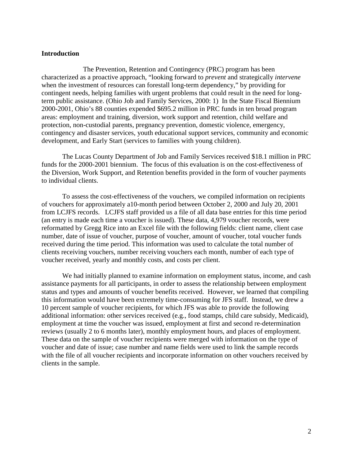#### **Introduction**

The Prevention, Retention and Contingency (PRC) program has been characterized as a proactive approach, "looking forward to *prevent* and strategically *intervene* when the investment of resources can forestall long-term dependency," by providing for contingent needs, helping families with urgent problems that could result in the need for longterm public assistance. (Ohio Job and Family Services, 2000: 1) In the State Fiscal Biennium 2000-2001, Ohio's 88 counties expended \$695.2 million in PRC funds in ten broad program areas: employment and training, diversion, work support and retention, child welfare and protection, non-custodial parents, pregnancy prevention, domestic violence, emergency, contingency and disaster services, youth educational support services, community and economic development, and Early Start (services to families with young children).

The Lucas County Department of Job and Family Services received \$18.1 million in PRC funds for the 2000-2001 biennium. The focus of this evaluation is on the cost-effectiveness of the Diversion, Work Support, and Retention benefits provided in the form of voucher payments to individual clients.

To assess the cost-effectiveness of the vouchers, we compiled information on recipients of vouchers for approximately a10-month period between October 2, 2000 and July 20, 2001 from LCJFS records. LCJFS staff provided us a file of all data base entries for this time period (an entry is made each time a voucher is issued). These data, 4,979 voucher records, were reformatted by Gregg Rice into an Excel file with the following fields: client name, client case number, date of issue of voucher, purpose of voucher, amount of voucher, total voucher funds received during the time period. This information was used to calculate the total number of clients receiving vouchers, number receiving vouchers each month, number of each type of voucher received, yearly and monthly costs, and costs per client.

We had initially planned to examine information on employment status, income, and cash assistance payments for all participants, in order to assess the relationship between employment status and types and amounts of voucher benefits received. However, we learned that compiling this information would have been extremely time-consuming for JFS staff. Instead, we drew a 10 percent sample of voucher recipients, for which JFS was able to provide the following additional information: other services received (e.g., food stamps, child care subsidy, Medicaid), employment at time the voucher was issued, employment at first and second re-determination reviews (usually 2 to 6 months later), monthly employment hours, and places of employment. These data on the sample of voucher recipients were merged with information on the type of voucher and date of issue; case number and name fields were used to link the sample records with the file of all voucher recipients and incorporate information on other vouchers received by clients in the sample.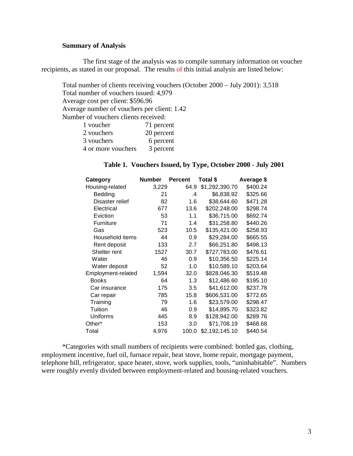#### **Summary of Analysis**

The first stage of the analysis was to compile summary information on voucher recipients, as stated in our proposal. The results of this initial analysis are listed below:

Total number of clients receiving vouchers (October 2000 – July 2001): 3,518 Total number of vouchers issued: 4,979 Average cost per client: \$596.96 Average number of vouchers per client: 1.42 Number of vouchers clients received:

| 1 voucher          | 71 percent |
|--------------------|------------|
| 2 vouchers         | 20 percent |
| 3 vouchers         | 6 percent  |
| 4 or more vouchers | 3 percent  |

#### **Table 1. Vouchers Issued, by Type, October 2000 - July 2001**

| Category           | <b>Number</b> | <b>Percent</b> | Total \$       | Average \$ |
|--------------------|---------------|----------------|----------------|------------|
| Housing-related    | 3,229         | 64.9           | \$1,292,390.70 | \$400.24   |
| Bedding            | 21            | $\mathcal{A}$  | \$6,838.92     | \$325.66   |
| Disaster relief    | 82            | 1.6            | \$38,644.60    | \$471.28   |
| Electrical         | 677           | 13.6           | \$202,248.00   | \$298.74   |
| Eviction           | 53            | 1.1            | \$36,715.00    | \$692.74   |
| Furniture          | 71            | 1.4            | \$31,258.80    | \$440.26   |
| Gas                | 523           | 10.5           | \$135,421.00   | \$258.93   |
| Household items    | 44            | 0.9            | \$29,284.00    | \$665.55   |
| Rent deposit       | 133           | 2.7            | \$66,251.80    | \$498.13   |
| Shelter rent       | 1527          | 30.7           | \$727,783.00   | \$476.61   |
| Water              | 46            | 0.9            | \$10,356.50    | \$225.14   |
| Water deposit      | 52            | 1.0            | \$10,589.10    | \$203.64   |
| Employment-related | 1,594         | 32.0           | \$828,046.30   | \$519.48   |
| <b>Books</b>       | 64            | 1.3            | \$12,486.60    | \$195.10   |
| Car insurance      | 175           | 3.5            | \$41,612.00    | \$237.78   |
| Car repair         | 785           | 15.8           | \$606,531.00   | \$772.65   |
| Training           | 79            | 1.6            | \$23,579.00    | \$298.47   |
| Tuition            | 46            | 0.9            | \$14,895.70    | \$323.82   |
| Uniforms           | 445           | 8.9            | \$128,942.00   | \$289.76   |
| Other*             | 153           | 3.0            | \$71,708.19    | \$468.68   |
| Total              | 4,976         | 100.0          | \$2,192,145.10 | \$440.54   |

\*Categories with small numbers of recipients were combined: bottled gas, clothing, employment incentive, fuel oil, furnace repair, heat stove, home repair, mortgage payment, telephone bill, refrigerator, space heater, stove, work supplies, tools, "uninhabitable". Numbers were roughly evenly divided between employment-related and housing-related vouchers.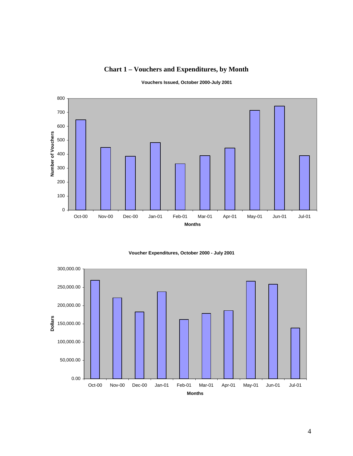### **Chart 1 – Vouchers and Expenditures, by Month**

**Vouchers Issued, October 2000-July 2001**





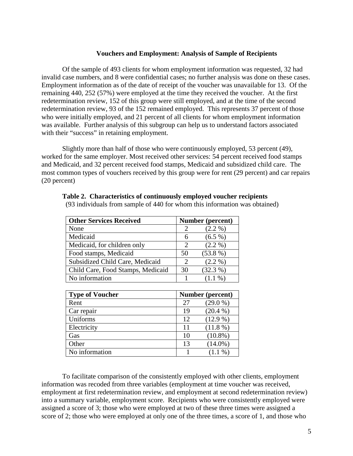#### **Vouchers and Employment: Analysis of Sample of Recipients**

Of the sample of 493 clients for whom employment information was requested, 32 had invalid case numbers, and 8 were confidential cases; no further analysis was done on these cases. Employment information as of the date of receipt of the voucher was unavailable for 13. Of the remaining 440, 252 (57%) were employed at the time they received the voucher. At the first redetermination review, 152 of this group were still employed, and at the time of the second redetermination review, 93 of the 152 remained employed. This represents 37 percent of those who were initially employed, and 21 percent of all clients for whom employment information was available. Further analysis of this subgroup can help us to understand factors associated with their "success" in retaining employment.

Slightly more than half of those who were continuously employed, 53 percent (49), worked for the same employer. Most received other services: 54 percent received food stamps and Medicaid, and 32 percent received food stamps, Medicaid and subsidized child care. The most common types of vouchers received by this group were for rent (29 percent) and car repairs (20 percent)

| <b>Other Services Received</b>    |                             | <b>Number (percent)</b> |
|-----------------------------------|-----------------------------|-------------------------|
| None                              | $\mathcal{D}_{\cdot}$       | (2.2 %)                 |
| Medicaid                          | 6                           | $(6.5\%)$               |
| Medicaid, for children only       | $\mathcal{D}_{\mathcal{L}}$ | (2.2 %)                 |
| Food stamps, Medicaid             | 50                          | $(53.8\%)$              |
| Subsidized Child Care, Medicaid   | 2                           | (2.2 %)                 |
| Child Care, Food Stamps, Medicaid | 30                          | (32.3 %)                |
| No information                    |                             | $(1.1\%)$               |

**Table 2. Characteristics of continuously employed voucher recipients**

| <b>Type of Voucher</b> | <b>Number (percent)</b> |            |  |
|------------------------|-------------------------|------------|--|
| Rent                   | 27                      | (29.0 %)   |  |
| Car repair             | 19                      | (20.4 %)   |  |
| Uniforms               | 12                      | $(12.9\%)$ |  |
| Electricity            | 11                      | $(11.8\%)$ |  |
| Gas                    | 10                      | $(10.8\%)$ |  |
| Other                  | 13                      | $(14.0\%)$ |  |
| No information         |                         | $(1.1\%)$  |  |

(93 individuals from sample of 440 for whom this information was obtained)

To facilitate comparison of the consistently employed with other clients, employment information was recoded from three variables (employment at time voucher was received, employment at first redetermination review, and employment at second redetermination review) into a summary variable, employment score. Recipients who were consistently employed were assigned a score of 3; those who were employed at two of these three times were assigned a score of 2; those who were employed at only one of the three times, a score of 1, and those who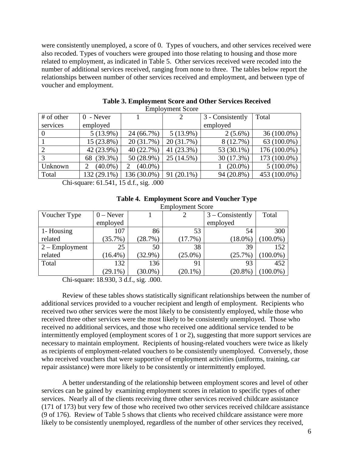were consistently unemployed, a score of 0. Types of vouchers, and other services received were also recoded. Types of vouchers were grouped into those relating to housing and those more related to employment, as indicated in Table 5. Other services received were recoded into the number of additional services received, ranging from none to three. The tables below report the relationships between number of other services received and employment, and between type of voucher and employment.

| # of other | $0 -$ Never |             | ---- <i>---</i> - | 3 - Consistently | Total         |
|------------|-------------|-------------|-------------------|------------------|---------------|
| services   | employed    |             |                   | employed         |               |
|            | $5(13.9\%)$ | 24 (66.7%)  | $5(13.9\%)$       | $2(5.6\%)$       | $36(100.0\%)$ |
|            | 15 (23.8%)  | 20 (31.7%)  | 20 (31.7%)        | 8 (12.7%)        | 63 (100.0%)   |
|            | 42 (23.9%)  | 40 (22.7%)  | 41 (23.3%)        | 53 (30.1%)       | 176 (100.0%)  |
|            | 68 (39.3%)  | 50 (28.9%)  | 25 (14.5%)        | 30 (17.3%)       | 173 (100.0%)  |
| Unknown    | $(40.0\%)$  | $(40.0\%)$  |                   | $(20.0\%)$       | $5(100.0\%)$  |
| Total      | 132 (29.1%) | 136 (30.0%) | 91 (20.1%)        | 94 (20.8%)       | 453 (100.0%)  |

| <b>Table 3. Employment Score and Other Services Received</b> |  |
|--------------------------------------------------------------|--|
| <b>Employment Score</b>                                      |  |

Chi-square: 61.541, 15 d.f., sig. .000

|                         | <b>Table 4.</b> Employment Score and Voucher Type |  |  |                          |    |  |  |  |
|-------------------------|---------------------------------------------------|--|--|--------------------------|----|--|--|--|
| <b>Employment Score</b> |                                                   |  |  |                          |    |  |  |  |
|                         | $0$ – Never                                       |  |  | $\vert 3 -$ Consistently | To |  |  |  |

**Table 4. Employment Score and Voucher Type**

| Voucher Type       | $0$ – Never |            | 2          | $3$ – Consistently | Total       |
|--------------------|-------------|------------|------------|--------------------|-------------|
|                    | employed    |            |            | employed           |             |
| $\vert$ 1- Housing | 107         | 86         | 53         | 54                 | 300         |
| related            | (35.7%)     | (28.7%)    | $(17.7\%)$ | $(18.0\%)$         | $(100.0\%)$ |
| $2 -$ Employment   | 25          | 50         | 38         | 39                 | 152         |
| related            | $(16.4\%)$  | $(32.9\%)$ | $(25.0\%)$ | $(25.7\%)$         | $(100.0\%)$ |
| Total              | 132         | 136        | 91         | 93                 | 452         |
|                    | $(29.1\%)$  | $(30.0\%)$ | $20.1\%$   | $(20.8\%)$         | $(100.0\%)$ |

Chi-square: 18.930, 3 d.f., sig. .000.

Review of these tables shows statistically significant relationships between the number of additional services provided to a voucher recipient and length of employment. Recipients who received two other services were the most likely to be consistently employed, while those who received three other services were the most likely to be consistently unemployed. Those who received no additional services, and those who received one additional service tended to be intermittently employed (employment scores of 1 or 2), suggesting that more support services are necessary to maintain employment. Recipients of housing-related vouchers were twice as likely as recipients of employment-related vouchers to be consistently unemployed. Conversely, those who received vouchers that were supportive of employment activities (uniforms, training, car repair assistance) were more likely to be consistently or intermittently employed.

A better understanding of the relationship between employment scores and level of other services can be gained by examining employment scores in relation to specific types of other services. Nearly all of the clients receiving three other services received childcare assistance (171 of 173) but very few of those who received two other services received childcare assistance (9 of 176). Review of Table 5 shows that clients who received childcare assistance were more likely to be consistently unemployed, regardless of the number of other services they received,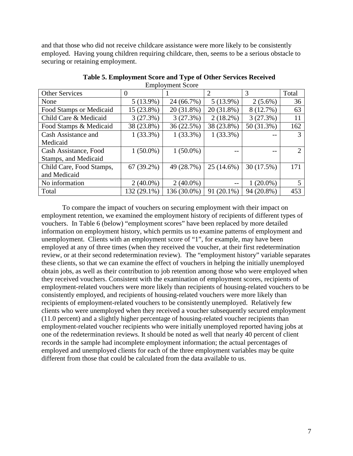and that those who did not receive childcare assistance were more likely to be consistently employed. Having young children requiring childcare, then, seems to be a serious obstacle to securing or retaining employment.

|                          |              | $\mu$ , and $\mu$ be seen to $\mu$ |              |             |       |
|--------------------------|--------------|------------------------------------|--------------|-------------|-------|
| <b>Other Services</b>    | $\theta$     |                                    | 2            | 3           | Total |
| None                     | $5(13.9\%)$  | 24 (66.7%)                         | $5(13.9\%)$  | $2(5.6\%)$  | 36    |
| Food Stamps or Medicaid  | 15 (23.8%)   | 20 (31.8%)                         | 20 (31.8%)   | 8 (12.7%)   | 63    |
| Child Care & Medicaid    | 3(27.3%)     | 3(27.3%)                           | $2(18.2\%)$  | 3(27.3%)    | 11    |
| Food Stamps & Medicaid   | 38 (23.8%)   | 36 (22.5%)                         | 38 (23.8%)   | 50 (31.3%)  | 162   |
| Cash Assistance and      | $1(33.3\%)$  | $1(33.3\%)$                        | $1(33.3\%)$  |             | 3     |
| Medicaid                 |              |                                    |              |             |       |
| Cash Assistance, Food    | $1(50.0\%)$  | $1(50.0\%)$                        |              | --          | 2     |
| Stamps, and Medicaid     |              |                                    |              |             |       |
| Child Care, Food Stamps, | $67(39.2\%)$ | 49 (28.7%)                         | 25 (14.6%)   | 30(17.5%)   | 171   |
| and Medicaid             |              |                                    |              |             |       |
| No information           | $2(40.0\%)$  | $2(40.0\%)$                        | $- -$        | $1(20.0\%)$ | 5     |
| Total                    | 132 (29.1%)  | 136 (30.0%)                        | $91(20.1\%)$ | 94 (20.8%)  | 453   |

**Table 5. Employment Score and Type of Other Services Received** Employment Score

To compare the impact of vouchers on securing employment with their impact on employment retention, we examined the employment history of recipients of different types of vouchers. In Table 6 (below) "employment scores" have been replaced by more detailed information on employment history, which permits us to examine patterns of employment and unemployment. Clients with an employment score of "1", for example, may have been employed at any of three times (when they received the voucher, at their first redetermination review, or at their second redetermination review). The "employment history" variable separates these clients, so that we can examine the effect of vouchers in helping the initially unemployed obtain jobs, as well as their contribution to job retention among those who were employed when they received vouchers. Consistent with the examination of employment scores, recipients of employment-related vouchers were more likely than recipients of housing-related vouchers to be consistently employed, and recipients of housing-related vouchers were more likely than recipients of employment-related vouchers to be consistently unemployed. Relatively few clients who were unemployed when they received a voucher subsequently secured employment (11.0 percent) and a slightly higher percentage of housing-related voucher recipients than employment-related voucher recipients who were initially unemployed reported having jobs at one of the redetermination reviews. It should be noted as well that nearly 40 percent of client records in the sample had incomplete employment information; the actual percentages of employed and unemployed clients for each of the three employment variables may be quite different from those that could be calculated from the data available to us.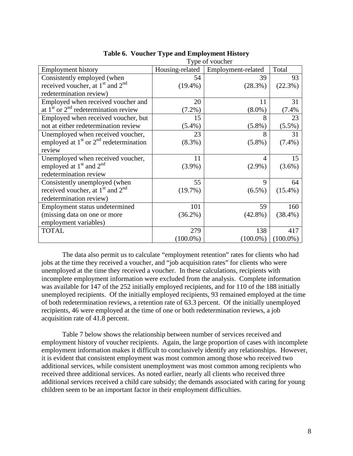| Type of voucher                            |                 |                    |             |
|--------------------------------------------|-----------------|--------------------|-------------|
| <b>Employment history</b>                  | Housing-related | Employment-related | Total       |
| Consistently employed (when                | 54              | 39                 | 93          |
| received voucher, at $1st$ and $2nd$       | $(19.4\%)$      | (28.3%)            | (22.3%)     |
| redetermination review)                    |                 |                    |             |
| Employed when received voucher and         | 20              | 11                 | 31          |
| at $1st$ or $2nd$ redetermination review   | $(7.2\%)$       | $(8.0\%)$          | (7.4%       |
| Employed when received voucher, but        | 15              | 8                  | 23          |
| not at either redetermination review       | $(5.4\%)$       | $(5.8\%)$          | $(5.5\%)$   |
| Unemployed when received voucher,          | 23              | 8                  | 31          |
| employed at $1st$ or $2nd$ redetermination | $(8.3\%)$       | $(5.8\%)$          | $(7.4\%)$   |
| review                                     |                 |                    |             |
| Unemployed when received voucher,          | 11              | 4                  | 15          |
| employed at $1st$ and $2nd$                | $(3.9\%)$       | $(2.9\%)$          | $(3.6\%)$   |
| redetermination review                     |                 |                    |             |
| Consistently unemployed (when              | 55              | 9                  | 64          |
| received voucher, at $1st$ and $2nd$       | $(19.7\%)$      | $(6.5\%)$          | $(15.4\%)$  |
| redetermination review)                    |                 |                    |             |
| Employment status undetermined             | 101             | 59                 | 160         |
| (missing data on one or more               | $(36.2\%)$      | $(42.8\%)$         | $(38.4\%)$  |
| employment variables)                      |                 |                    |             |
| <b>TOTAL</b>                               | 279             | 138                | 417         |
|                                            | $(100.0\%)$     | $(100.0\%)$        | $(100.0\%)$ |

## **Table 6. Voucher Type and Employment History**

The data also permit us to calculate "employment retention" rates for clients who had jobs at the time they received a voucher, and "job acquisition rates" for clients who were unemployed at the time they received a voucher. In these calculations, recipients with incomplete employment information were excluded from the analysis. Complete information was available for 147 of the 252 initially employed recipients, and for 110 of the 188 initially unemployed recipients. Of the initially employed recipients, 93 remained employed at the time of both redetermination reviews, a retention rate of 63.3 percent. Of the initially unemployed recipients, 46 were employed at the time of one or both redetermination reviews, a job acquisition rate of 41.8 percent.

Table 7 below shows the relationship between number of services received and employment history of voucher recipients. Again, the large proportion of cases with incomplete employment information makes it difficult to conclusively identify any relationships. However, it is evident that consistent employment was most common among those who received two additional services, while consistent unemployment was most common among recipients who received three additional services. As noted earlier, nearly all clients who received three additional services received a child care subsidy; the demands associated with caring for young children seem to be an important factor in their employment difficulties.